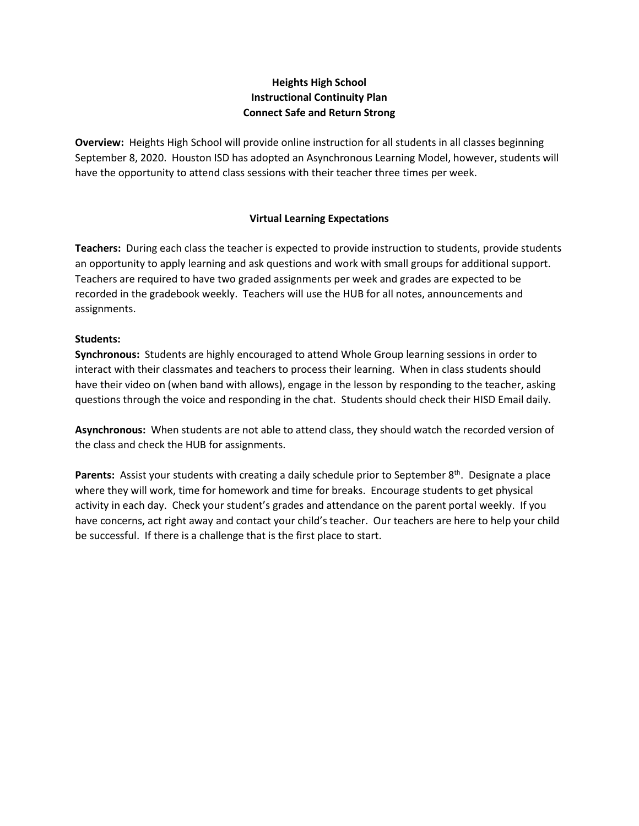## **Heights High School Instructional Continuity Plan Connect Safe and Return Strong**

**Overview:** Heights High School will provide online instruction for all students in all classes beginning September 8, 2020. Houston ISD has adopted an Asynchronous Learning Model, however, students will have the opportunity to attend class sessions with their teacher three times per week.

## **Virtual Learning Expectations**

**Teachers:** During each class the teacher is expected to provide instruction to students, provide students an opportunity to apply learning and ask questions and work with small groups for additional support. Teachers are required to have two graded assignments per week and grades are expected to be recorded in the gradebook weekly. Teachers will use the HUB for all notes, announcements and assignments.

#### **Students:**

**Synchronous:** Students are highly encouraged to attend Whole Group learning sessions in order to interact with their classmates and teachers to process their learning. When in class students should have their video on (when band with allows), engage in the lesson by responding to the teacher, asking questions through the voice and responding in the chat. Students should check their HISD Email daily.

**Asynchronous:** When students are not able to attend class, they should watch the recorded version of the class and check the HUB for assignments.

Parents: Assist your students with creating a daily schedule prior to September 8<sup>th</sup>. Designate a place where they will work, time for homework and time for breaks. Encourage students to get physical activity in each day. Check your student's grades and attendance on the parent portal weekly. If you have concerns, act right away and contact your child's teacher. Our teachers are here to help your child be successful. If there is a challenge that is the first place to start.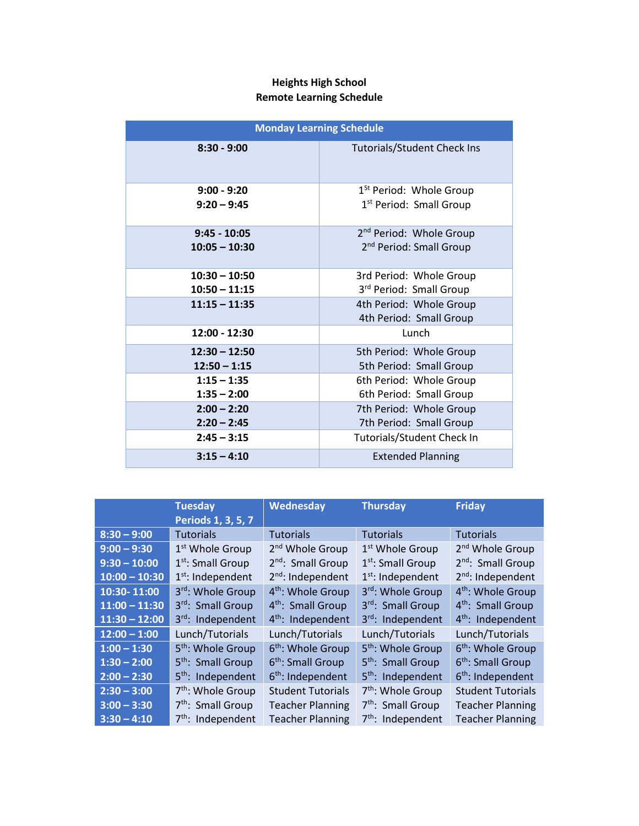# **Heights High School Remote Learning Schedule**

| <b>Monday Learning Schedule</b> |                                                    |  |  |
|---------------------------------|----------------------------------------------------|--|--|
| $8:30 - 9:00$                   | <b>Tutorials/Student Check Ins</b>                 |  |  |
| $9:00 - 9:20$                   | 1 <sup>St</sup> Period: Whole Group                |  |  |
| $9:20 - 9:45$                   | 1 <sup>st</sup> Period: Small Group                |  |  |
| $9:45 - 10:05$                  | 2 <sup>nd</sup> Period: Whole Group                |  |  |
| $10:05 - 10:30$                 | 2 <sup>nd</sup> Period: Small Group                |  |  |
| $10:30 - 10:50$                 | 3rd Period: Whole Group                            |  |  |
| $10:50 - 11:15$                 | 3rd Period: Small Group                            |  |  |
| $11:15 - 11:35$                 | 4th Period: Whole Group<br>4th Period: Small Group |  |  |
| $12:00 - 12:30$                 | Lunch                                              |  |  |
| $12:30 - 12:50$                 | 5th Period: Whole Group                            |  |  |
| $12:50 - 1:15$                  | 5th Period: Small Group                            |  |  |
| $1:15 - 1:35$                   | 6th Period: Whole Group                            |  |  |
| $1:35 - 2:00$                   | 6th Period: Small Group                            |  |  |
| $2:00 - 2:20$                   | 7th Period: Whole Group                            |  |  |
| $2:20 - 2:45$                   | 7th Period: Small Group                            |  |  |
| $2:45 - 3:15$                   | <b>Tutorials/Student Check In</b>                  |  |  |
| $3:15 - 4:10$                   | <b>Extended Planning</b>                           |  |  |

|                 | <b>Tuesday</b>                | <b>Wednesday</b>              | <b>Thursday</b>               | <b>Friday</b>                 |
|-----------------|-------------------------------|-------------------------------|-------------------------------|-------------------------------|
|                 | Periods 1, 3, 5, 7            |                               |                               |                               |
| $8:30 - 9:00$   | <b>Tutorials</b>              | <b>Tutorials</b>              | <b>Tutorials</b>              | <b>Tutorials</b>              |
| $9:00 - 9:30$   | 1 <sup>st</sup> Whole Group   | 2 <sup>nd</sup> Whole Group   | 1 <sup>st</sup> Whole Group   | 2 <sup>nd</sup> Whole Group   |
| $9:30 - 10:00$  | 1 <sup>st</sup> : Small Group | 2 <sup>nd</sup> : Small Group | $1st$ : Small Group           | 2 <sup>nd</sup> : Small Group |
| $10:00 - 10:30$ | $1st$ : Independent           | $2nd$ : Independent           | $1st$ : Independent           | $2^{nd}$ : Independent        |
| 10:30-11:00     | 3rd: Whole Group              | 4 <sup>th</sup> : Whole Group | 3rd: Whole Group              | 4 <sup>th</sup> : Whole Group |
| $11:00 - 11:30$ | 3rd: Small Group              | 4 <sup>th</sup> : Small Group | 3rd: Small Group              | 4 <sup>th</sup> : Small Group |
| $11:30 - 12:00$ | 3rd: Independent              | $4th$ : Independent           | 3rd: Independent              | $4th$ : Independent           |
| $12:00 - 1:00$  | Lunch/Tutorials               | Lunch/Tutorials               | Lunch/Tutorials               | Lunch/Tutorials               |
| $1:00 - 1:30$   | 5 <sup>th</sup> : Whole Group | 6 <sup>th</sup> : Whole Group | 5 <sup>th</sup> : Whole Group | 6 <sup>th</sup> : Whole Group |
| $1:30 - 2:00$   | 5 <sup>th</sup> : Small Group | 6 <sup>th</sup> : Small Group | 5 <sup>th</sup> : Small Group | 6 <sup>th</sup> : Small Group |
| $2:00 - 2:30$   | 5 <sup>th</sup> : Independent | $6th$ : Independent           | 5 <sup>th</sup> : Independent | $6th$ : Independent           |
| $2:30 - 3:00$   | 7 <sup>th</sup> : Whole Group | <b>Student Tutorials</b>      | $7th$ : Whole Group           | <b>Student Tutorials</b>      |
| $3:00 - 3:30$   | 7 <sup>th</sup> : Small Group | <b>Teacher Planning</b>       | 7 <sup>th</sup> : Small Group | <b>Teacher Planning</b>       |
| $3:30 - 4:10$   | $7th$ : Independent           | <b>Teacher Planning</b>       | $7th$ : Independent           | <b>Teacher Planning</b>       |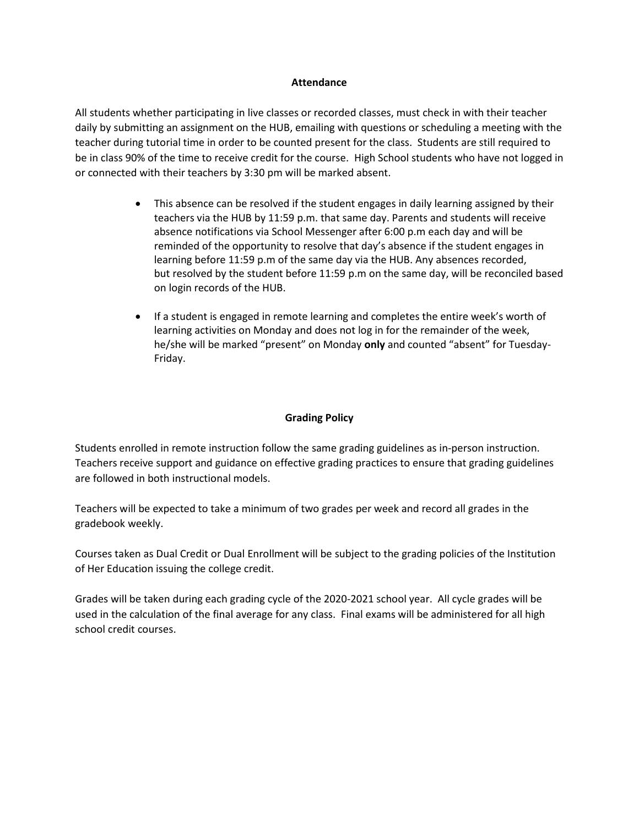#### **Attendance**

All students whether participating in live classes or recorded classes, must check in with their teacher daily by submitting an assignment on the HUB, emailing with questions or scheduling a meeting with the teacher during tutorial time in order to be counted present for the class. Students are still required to be in class 90% of the time to receive credit for the course. High School students who have not logged in or connected with their teachers by 3:30 pm will be marked absent.

- This absence can be resolved if the student engages in daily learning assigned by their teachers via the HUB by 11:59 p.m. that same day. Parents and students will receive absence notifications via School Messenger after 6:00 p.m each day and will be reminded of the opportunity to resolve that day's absence if the student engages in learning before 11:59 p.m of the same day via the HUB. Any absences recorded, but resolved by the student before 11:59 p.m on the same day, will be reconciled based on login records of the HUB.
- If a student is engaged in remote learning and completes the entire week's worth of learning activities on Monday and does not log in for the remainder of the week, he/she will be marked "present" on Monday **only** and counted "absent" for Tuesday-Friday.

## **Grading Policy**

Students enrolled in remote instruction follow the same grading guidelines as in-person instruction. Teachers receive support and guidance on effective grading practices to ensure that grading guidelines are followed in both instructional models.

Teachers will be expected to take a minimum of two grades per week and record all grades in the gradebook weekly.

Courses taken as Dual Credit or Dual Enrollment will be subject to the grading policies of the Institution of Her Education issuing the college credit.

Grades will be taken during each grading cycle of the 2020-2021 school year. All cycle grades will be used in the calculation of the final average for any class. Final exams will be administered for all high school credit courses.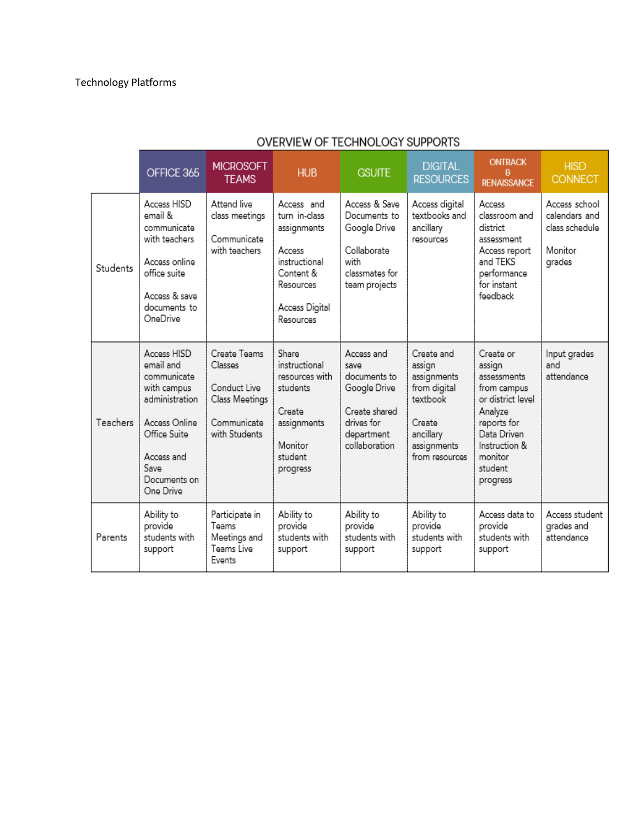|          | OFFICE 365                                                                                                                                                   | <b>MICROSOFT</b><br><b>TEAMS</b>                                                          | <b>HUB</b>                                                                                                                     | <b>GSUITE</b>                                                                                                    | <b>DIGITAL</b><br><b>RESOURCES</b>                                                                                      | <b>ONTRACK</b><br>я<br><b>RENAISSANCE</b>                                                                                                                          | <b>HISD</b><br><b>CONNECT</b>                                         |
|----------|--------------------------------------------------------------------------------------------------------------------------------------------------------------|-------------------------------------------------------------------------------------------|--------------------------------------------------------------------------------------------------------------------------------|------------------------------------------------------------------------------------------------------------------|-------------------------------------------------------------------------------------------------------------------------|--------------------------------------------------------------------------------------------------------------------------------------------------------------------|-----------------------------------------------------------------------|
| Students | Access HISD<br>email &<br>communicate<br>with teachers<br>Access online<br>office suite<br>Access & save<br>documents to<br>OneDrive                         | Attend live<br>class meetings<br>Communicate<br>with teachers                             | Access and<br>turn in-class<br>assignments<br>Access<br>instructional<br>Content &<br>Resources<br>Access Digital<br>Resources | Access & Save<br>Documents to<br>Google Drive<br>Collaborate<br>with<br>classmates for<br>team projects          | Access digital<br>textbooks and<br>ancillary<br>resources                                                               | Access<br>classroom and<br>district<br>assessment<br>Access report<br>and TEKS<br>performance<br>for instant<br>feedback                                           | Access school<br>calendars and<br>class schedule<br>Monitor<br>grades |
| Teachers | Access HISD<br>email and<br>communicate<br>with campus<br>administration<br>Access Online<br>Office Suite<br>Access and<br>Save<br>Documents on<br>One Drive | Create Teams<br>Classes<br>Conduct Live<br>Class Meetings<br>Communicate<br>with Students | Share<br>instructional<br>resources with<br>students<br>Create<br>assignments<br>Monitor<br>student<br>progress                | Access and<br>save<br>documents to<br>Google Drive<br>Create shared<br>drives for<br>department<br>collaboration | Create and<br>assign<br>assignments<br>from digital<br>textbook<br>Create<br>ancillary<br>assignments<br>from resources | Create or<br>assign<br>assessments<br>from campus<br>or district level<br>Analyze<br>reports for<br>Data Driven<br>Instruction &<br>monitor<br>student<br>progress | Input grades<br>and<br>attendance                                     |
| Parents  | Ability to<br>provide<br>students with<br>support                                                                                                            | Participate in<br>Teams<br>Meetings and<br>Teams Live<br>Events                           | Ability to<br>provide<br>students with<br>support                                                                              | Ability to<br>provide<br>students with<br>support                                                                | Ability to<br>provide<br>students with<br>support                                                                       | Access data to<br>provide<br>students with<br>support                                                                                                              | Access student<br>grades and<br>attendance                            |

# OVERVIEW OF TECHNOLOGY SUPPORTS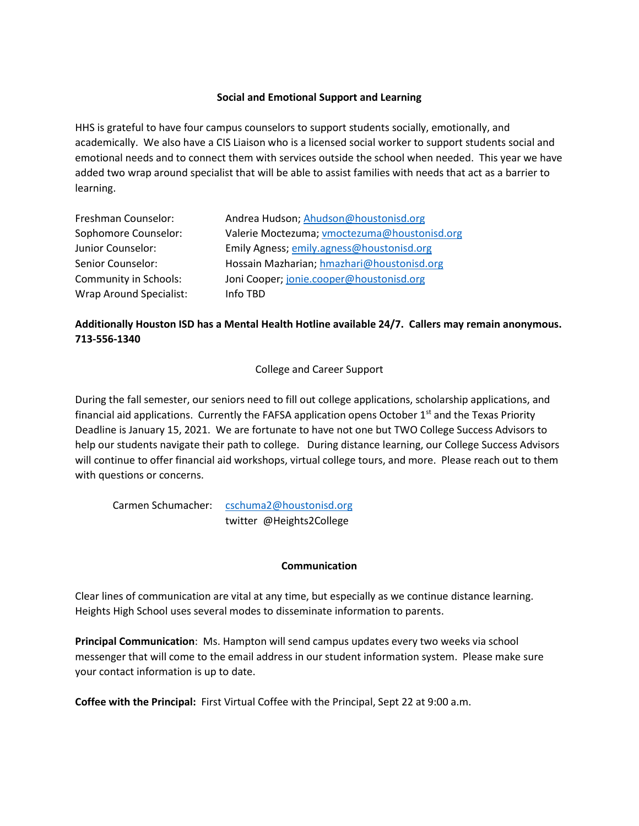## **Social and Emotional Support and Learning**

HHS is grateful to have four campus counselors to support students socially, emotionally, and academically. We also have a CIS Liaison who is a licensed social worker to support students social and emotional needs and to connect them with services outside the school when needed. This year we have added two wrap around specialist that will be able to assist families with needs that act as a barrier to learning.

| Freshman Counselor:            | Andrea Hudson; Ahudson@houstonisd.org        |
|--------------------------------|----------------------------------------------|
| Sophomore Counselor:           | Valerie Moctezuma; vmoctezuma@houstonisd.org |
| Junior Counselor:              | Emily Agness; emily.agness@houstonisd.org    |
| Senior Counselor:              | Hossain Mazharian; hmazhari@houstonisd.org   |
| <b>Community in Schools:</b>   | Joni Cooper; jonie.cooper@houstonisd.org     |
| <b>Wrap Around Specialist:</b> | Info TBD                                     |

# **Additionally Houston ISD has a Mental Health Hotline available 24/7. Callers may remain anonymous. 713-556-1340**

## College and Career Support

During the fall semester, our seniors need to fill out college applications, scholarship applications, and financial aid applications. Currently the FAFSA application opens October  $1<sup>st</sup>$  and the Texas Priority Deadline is January 15, 2021. We are fortunate to have not one but TWO College Success Advisors to help our students navigate their path to college. During distance learning, our College Success Advisors will continue to offer financial aid workshops, virtual college tours, and more. Please reach out to them with questions or concerns.

Carmen Schumacher: [cschuma2@houstonisd.org](mailto:cschuma2@houstonisd.org) twitter @Heights2College

## **Communication**

Clear lines of communication are vital at any time, but especially as we continue distance learning. Heights High School uses several modes to disseminate information to parents.

**Principal Communication**: Ms. Hampton will send campus updates every two weeks via school messenger that will come to the email address in our student information system. Please make sure your contact information is up to date.

**Coffee with the Principal:** First Virtual Coffee with the Principal, Sept 22 at 9:00 a.m.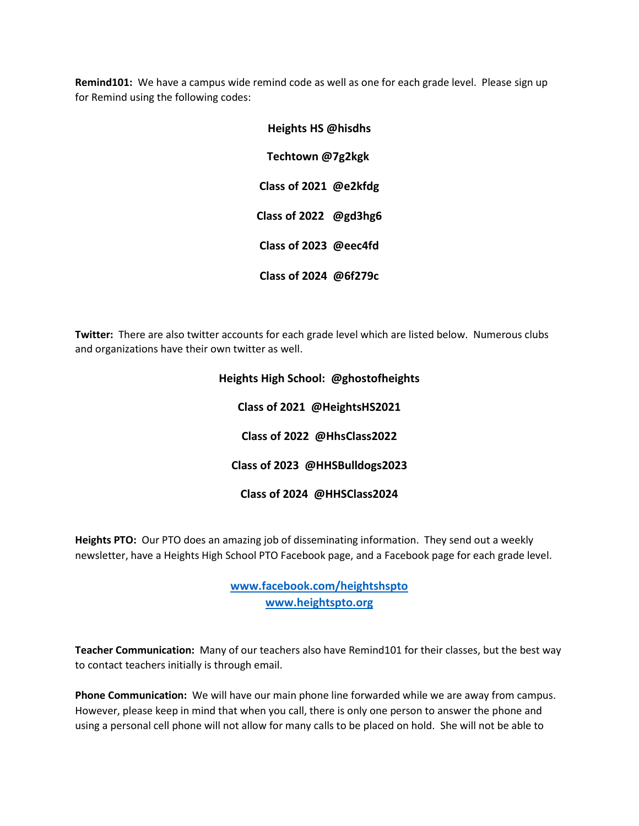**Remind101:** We have a campus wide remind code as well as one for each grade level. Please sign up for Remind using the following codes:

| <b>Heights HS @hisdhs</b> |  |  |
|---------------------------|--|--|
| Techtown @7g2kgk          |  |  |
| Class of 2021 @e2kfdg     |  |  |
| Class of 2022 @gd3hg6     |  |  |
| Class of 2023 @eec4fd     |  |  |
| Class of 2024 @6f279c     |  |  |

**Twitter:** There are also twitter accounts for each grade level which are listed below. Numerous clubs and organizations have their own twitter as well.

# **Heights High School: @ghostofheights Class of 2021 @HeightsHS2021 Class of 2022 @HhsClass2022 Class of 2023 @HHSBulldogs2023 Class of 2024 @HHSClass2024**

**Heights PTO:** Our PTO does an amazing job of disseminating information. They send out a weekly newsletter, have a Heights High School PTO Facebook page, and a Facebook page for each grade level.

> **[www.facebook.com/heightshspto](http://www.facebook.com/heightshspto) [www.heightspto.org](http://www.heightspto.org/)**

**Teacher Communication:** Many of our teachers also have Remind101 for their classes, but the best way to contact teachers initially is through email.

**Phone Communication:** We will have our main phone line forwarded while we are away from campus. However, please keep in mind that when you call, there is only one person to answer the phone and using a personal cell phone will not allow for many calls to be placed on hold. She will not be able to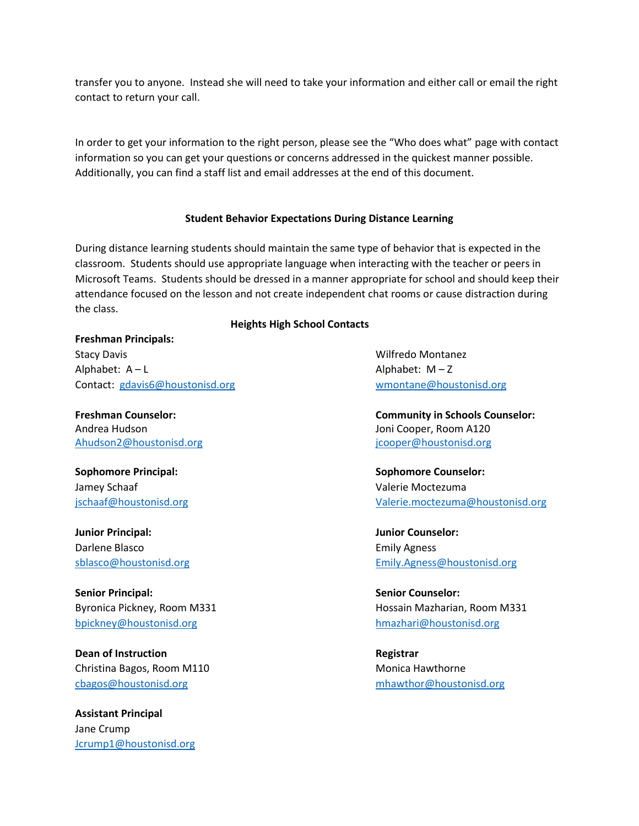transfer you to anyone. Instead she will need to take your information and either call or email the right contact to return your call.

In order to get your information to the right person, please see the "Who does what" page with contact information so you can get your questions or concerns addressed in the quickest manner possible. Additionally, you can find a staff list and email addresses at the end of this document.

#### **Student Behavior Expectations During Distance Learning**

During distance learning students should maintain the same type of behavior that is expected in the classroom. Students should use appropriate language when interacting with the teacher or peers in Microsoft Teams. Students should be dressed in a manner appropriate for school and should keep their attendance focused on the lesson and not create independent chat rooms or cause distraction during the class.

 **Heights High School Contacts**

## **Freshman Principals:**

Stacy Davis Wilfredo Montanez Alphabet: A – L<br>
Alphabet: M – Z

Andrea Hudson Joni Cooper, Room A120

**Sophomore Principal: Sophomore Counselor:** Jamey Schaaf Valerie Moctezuma

**Junior Principal: Junior Counselor:** Darlene Blasco Emily Agness

**Senior Principal: Senior Counselor:** [bpickney@houstonisd.org](mailto:bpickney@houstonisd.org) [hmazhari@houstonisd.org](mailto:hmazhari@houstonisd.org)

**Dean of Instruction Registrar** Christina Bagos, Room M110 Monica Hawthorne [cbagos@houstonisd.org](mailto:cbagos@houstonisd.org) [mhawthor@houstonisd.org](mailto:mhawthor@houstonisd.org)

**Assistant Principal** Jane Crump [Jcrump1@houstonisd.org](mailto:Jcrump1@houstonisd.org)

Contact: [gdavis6@houstonisd.org](mailto:gdavis6@houstonisd.org) [wmontane@houstonisd.org](mailto:wmontane@houstonisd.org)

**Freshman Counselor: Community in Schools Counselor:** [Ahudson2@houstonisd.org](mailto:Ahudson2@houstonisd.org) in the state of the state of the state of the state of the state of the state of the state of the state of the state of the state of the state of the state of the state of the state of the state of

[jschaaf@houstonisd.org](mailto:jschaaf@houstonisd.org) [Valerie.moctezuma@houstonisd.org](mailto:Valerie.moctezuma@houstonisd.org)

[sblasco@houstonisd.org](mailto:sblasco@houstonisd.org) [Emily.Agness@houstonisd.org](mailto:Emily.Agness@houstonisd.org)

Byronica Pickney, Room M331 **Hossain Mazharian, Room M331**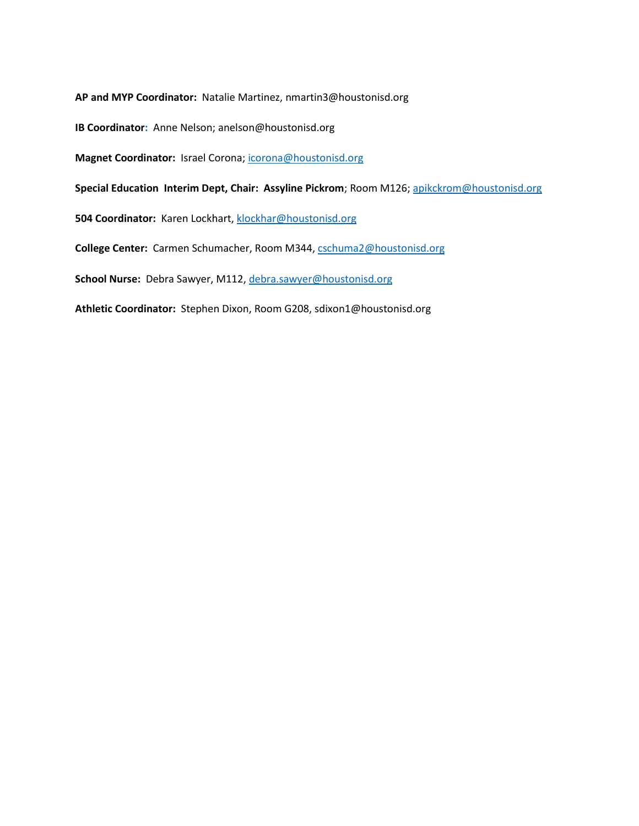**AP and MYP Coordinator:** Natalie Martinez, nmartin3@houstonisd.org

**IB Coordinator:** Anne Nelson; anelson@houstonisd.org

**Magnet Coordinator:** Israel Corona[; icorona@houstonisd.org](mailto:icorona@houstonisd.org)

**Special Education Interim Dept, Chair: Assyline Pickrom**; Room M126[; apikckrom@houstonisd.org](mailto:apikckrom@houstonisd.org)

**504 Coordinator:** Karen Lockhart, [klockhar@houstonisd.org](mailto:klockhar@houstonisd.org)

**College Center:** Carmen Schumacher, Room M344[, cschuma2@houstonisd.org](mailto:cschuma2@houstonisd.org)

**School Nurse:** Debra Sawyer, M112[, debra.sawyer@houstonisd.org](mailto:debra.sawyer@houstonisd.org)

**Athletic Coordinator:** Stephen Dixon, Room G208, sdixon1@houstonisd.org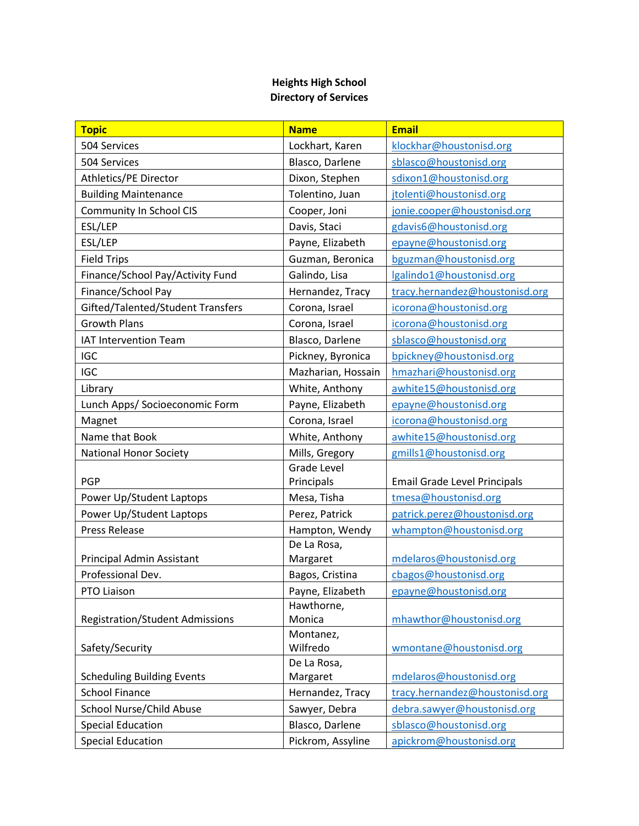# **Heights High School Directory of Services**

| <b>Topic</b>                           | <b>Name</b>          | <b>Email</b>                        |
|----------------------------------------|----------------------|-------------------------------------|
| 504 Services                           | Lockhart, Karen      | klockhar@houstonisd.org             |
| 504 Services                           | Blasco, Darlene      | sblasco@houstonisd.org              |
| Athletics/PE Director                  | Dixon, Stephen       | sdixon1@houstonisd.org              |
| <b>Building Maintenance</b>            | Tolentino, Juan      | jtolenti@houstonisd.org             |
| Community In School CIS                | Cooper, Joni         | jonie.cooper@houstonisd.org         |
| ESL/LEP                                | Davis, Staci         | gdavis6@houstonisd.org              |
| ESL/LEP                                | Payne, Elizabeth     | epayne@houstonisd.org               |
| <b>Field Trips</b>                     | Guzman, Beronica     | bguzman@houstonisd.org              |
| Finance/School Pay/Activity Fund       | Galindo, Lisa        | lgalindo1@houstonisd.org            |
| Finance/School Pay                     | Hernandez, Tracy     | tracy.hernandez@houstonisd.org      |
| Gifted/Talented/Student Transfers      | Corona, Israel       | icorona@houstonisd.org              |
| <b>Growth Plans</b>                    | Corona, Israel       | icorona@houstonisd.org              |
| <b>IAT Intervention Team</b>           | Blasco, Darlene      | sblasco@houstonisd.org              |
| IGC                                    | Pickney, Byronica    | bpickney@houstonisd.org             |
| <b>IGC</b>                             | Mazharian, Hossain   | hmazhari@houstonisd.org             |
| Library                                | White, Anthony       | awhite15@houstonisd.org             |
| Lunch Apps/ Socioeconomic Form         | Payne, Elizabeth     | epayne@houstonisd.org               |
| Magnet                                 | Corona, Israel       | icorona@houstonisd.org              |
| Name that Book                         | White, Anthony       | awhite15@houstonisd.org             |
| <b>National Honor Society</b>          | Mills, Gregory       | gmills1@houstonisd.org              |
|                                        | <b>Grade Level</b>   |                                     |
| PGP                                    | Principals           | <b>Email Grade Level Principals</b> |
| Power Up/Student Laptops               | Mesa, Tisha          | tmesa@houstonisd.org                |
| Power Up/Student Laptops               | Perez, Patrick       | patrick.perez@houstonisd.org        |
| <b>Press Release</b>                   | Hampton, Wendy       | whampton@houstonisd.org             |
|                                        | De La Rosa,          |                                     |
| Principal Admin Assistant              | Margaret             | mdelaros@houstonisd.org             |
| Professional Dev.                      | Bagos, Cristina      | cbagos@houstonisd.org               |
| PTO Liaison                            | Payne, Elizabeth     | epayne@houstonisd.org               |
| <b>Registration/Student Admissions</b> | Hawthorne,<br>Monica | mhawthor@houstonisd.org             |
|                                        | Montanez,            |                                     |
| Safety/Security                        | Wilfredo             | wmontane@houstonisd.org             |
|                                        | De La Rosa,          |                                     |
| <b>Scheduling Building Events</b>      | Margaret             | mdelaros@houstonisd.org             |
| <b>School Finance</b>                  | Hernandez, Tracy     | tracy.hernandez@houstonisd.org      |
| School Nurse/Child Abuse               | Sawyer, Debra        | debra.sawyer@houstonisd.org         |
| <b>Special Education</b>               | Blasco, Darlene      | sblasco@houstonisd.org              |
| <b>Special Education</b>               | Pickrom, Assyline    | apickrom@houstonisd.org             |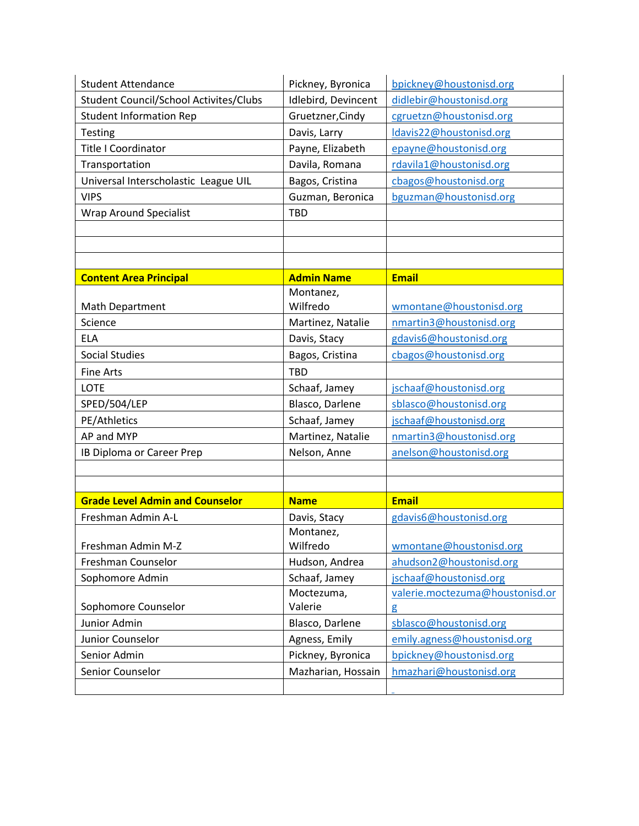| <b>Student Attendance</b>              | Pickney, Byronica           | bpickney@houstonisd.org                                   |
|----------------------------------------|-----------------------------|-----------------------------------------------------------|
| Student Council/School Activites/Clubs | Idlebird, Devincent         | didlebir@houstonisd.org                                   |
| <b>Student Information Rep</b>         | Gruetzner, Cindy            | cgruetzn@houstonisd.org                                   |
| Testing                                | Davis, Larry                | Idavis22@houstonisd.org                                   |
| <b>Title I Coordinator</b>             | Payne, Elizabeth            | epayne@houstonisd.org                                     |
| Transportation                         | Davila, Romana              | rdavila1@houstonisd.org                                   |
| Universal Interscholastic League UIL   | Bagos, Cristina             | cbagos@houstonisd.org                                     |
| <b>VIPS</b>                            | Guzman, Beronica            | bguzman@houstonisd.org                                    |
| <b>Wrap Around Specialist</b>          | <b>TBD</b>                  |                                                           |
|                                        |                             |                                                           |
|                                        |                             |                                                           |
|                                        |                             |                                                           |
| <b>Content Area Principal</b>          | <b>Admin Name</b>           | <b>Email</b>                                              |
|                                        | Montanez,                   |                                                           |
| <b>Math Department</b>                 | Wilfredo                    | wmontane@houstonisd.org                                   |
| Science                                | Martinez, Natalie           | nmartin3@houstonisd.org                                   |
| <b>ELA</b>                             | Davis, Stacy                | gdavis6@houstonisd.org                                    |
| <b>Social Studies</b>                  | Bagos, Cristina             | cbagos@houstonisd.org                                     |
| <b>Fine Arts</b>                       | <b>TBD</b>                  |                                                           |
| LOTE                                   | Schaaf, Jamey               | jschaaf@houstonisd.org                                    |
| SPED/504/LEP                           | Blasco, Darlene             | sblasco@houstonisd.org                                    |
| PE/Athletics                           | Schaaf, Jamey               | jschaaf@houstonisd.org                                    |
| AP and MYP                             | Martinez, Natalie           | nmartin3@houstonisd.org                                   |
| IB Diploma or Career Prep              | Nelson, Anne                | anelson@houstonisd.org                                    |
|                                        |                             |                                                           |
|                                        |                             |                                                           |
| <b>Grade Level Admin and Counselor</b> | <b>Name</b>                 | <b>Email</b>                                              |
| Freshman Admin A-L                     | Davis, Stacy                | gdavis6@houstonisd.org                                    |
| Freshman Admin M-Z                     | Montanez,                   | wmontane@houstonisd.org                                   |
| Freshman Counselor                     | Wilfredo                    |                                                           |
| Sophomore Admin                        | Hudson, Andrea              | ahudson2@houstonisd.org                                   |
|                                        | Schaaf, Jamey<br>Moctezuma, | jschaaf@houstonisd.org<br>valerie.moctezuma@houstonisd.or |
| Sophomore Counselor                    | Valerie                     | g                                                         |
| Junior Admin                           |                             |                                                           |
|                                        |                             |                                                           |
|                                        | Blasco, Darlene             | sblasco@houstonisd.org                                    |
| Junior Counselor<br>Senior Admin       | Agness, Emily               | emily.agness@houstonisd.org                               |
|                                        | Pickney, Byronica           | bpickney@houstonisd.org                                   |
| Senior Counselor                       | Mazharian, Hossain          | hmazhari@houstonisd.org                                   |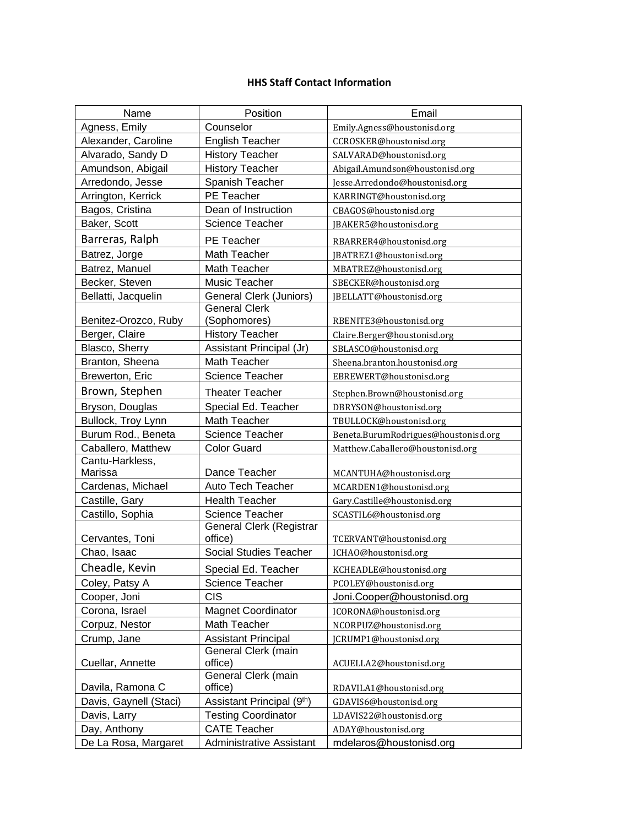## **HHS Staff Contact Information**

| Name                   | Position                       | Email                                |
|------------------------|--------------------------------|--------------------------------------|
| Agness, Emily          | Counselor                      | Emily.Agness@houstonisd.org          |
| Alexander, Caroline    | <b>English Teacher</b>         | CCROSKER@houstonisd.org              |
| Alvarado, Sandy D      | <b>History Teacher</b>         | SALVARAD@houstonisd.org              |
| Amundson, Abigail      | <b>History Teacher</b>         | Abigail.Amundson@houstonisd.org      |
| Arredondo, Jesse       | Spanish Teacher                | Jesse.Arredondo@houstonisd.org       |
| Arrington, Kerrick     | PE Teacher                     | KARRINGT@houstonisd.org              |
| Bagos, Cristina        | Dean of Instruction            | CBAGOS@houstonisd.org                |
| Baker, Scott           | Science Teacher                | JBAKER5@houstonisd.org               |
| Barreras, Ralph        | PE Teacher                     | RBARRER4@houstonisd.org              |
| Batrez, Jorge          | Math Teacher                   | JBATREZ1@houstonisd.org              |
| Batrez, Manuel         | Math Teacher                   | MBATREZ@houstonisd.org               |
| Becker, Steven         | Music Teacher                  | SBECKER@houstonisd.org               |
| Bellatti, Jacquelin    | General Clerk (Juniors)        | JBELLATT@houstonisd.org              |
|                        | <b>General Clerk</b>           |                                      |
| Benitez-Orozco, Ruby   | (Sophomores)                   | RBENITE3@houstonisd.org              |
| Berger, Claire         | <b>History Teacher</b>         | Claire.Berger@houstonisd.org         |
| Blasco, Sherry         | Assistant Principal (Jr)       | SBLASCO@houstonisd.org               |
| Branton, Sheena        | Math Teacher                   | Sheena.branton.houstonisd.org        |
| Brewerton, Eric        | Science Teacher                | EBREWERT@houstonisd.org              |
| Brown, Stephen         | <b>Theater Teacher</b>         | Stephen.Brown@houstonisd.org         |
| Bryson, Douglas        | Special Ed. Teacher            | DBRYSON@houstonisd.org               |
| Bullock, Troy Lynn     | Math Teacher                   | TBULLOCK@houstonisd.org              |
| Burum Rod., Beneta     | <b>Science Teacher</b>         | Beneta.BurumRodrigues@houstonisd.org |
| Caballero, Matthew     | <b>Color Guard</b>             | Matthew.Caballero@houstonisd.org     |
| Cantu-Harkless,        |                                |                                      |
| Marissa                | Dance Teacher                  | MCANTUHA@houstonisd.org              |
| Cardenas, Michael      | Auto Tech Teacher              | MCARDEN1@houstonisd.org              |
| Castille, Gary         | <b>Health Teacher</b>          | Gary.Castille@houstonisd.org         |
| Castillo, Sophia       | Science Teacher                | SCASTIL6@houstonisd.org              |
|                        | General Clerk (Registrar       |                                      |
| Cervantes, Toni        | office)                        | TCERVANT@houstonisd.org              |
| Chao, Isaac            | Social Studies Teacher         | ICHAO@houstonisd.org                 |
| Cheadle, Kevin         | Special Ed. Teacher            | KCHEADLE@houstonisd.org              |
| Coley, Patsy A         | Science Teacher                | PCOLEY@houstonisd.org                |
| Cooper, Joni           | <b>CIS</b>                     | Joni.Cooper@houstonisd.org           |
| Corona, Israel         | <b>Magnet Coordinator</b>      | ICORONA@houstonisd.org               |
| Corpuz, Nestor         | Math Teacher                   | NCORPUZ@houstonisd.org               |
| Crump, Jane            | <b>Assistant Principal</b>     | JCRUMP1@houstonisd.org               |
|                        | General Clerk (main            |                                      |
| Cuellar, Annette       | office)                        | ACUELLA2@houstonisd.org              |
|                        | General Clerk (main<br>office) |                                      |
| Davila, Ramona C       |                                | RDAVILA1@houstonisd.org              |
| Davis, Gaynell (Staci) | Assistant Principal (9th)      | GDAVIS6@houstonisd.org               |
| Davis, Larry           | <b>Testing Coordinator</b>     | LDAVIS22@houstonisd.org              |
| Day, Anthony           | <b>CATE Teacher</b>            | ADAY@houstonisd.org                  |
| De La Rosa, Margaret   | Administrative Assistant       | mdelaros@houstonisd.org              |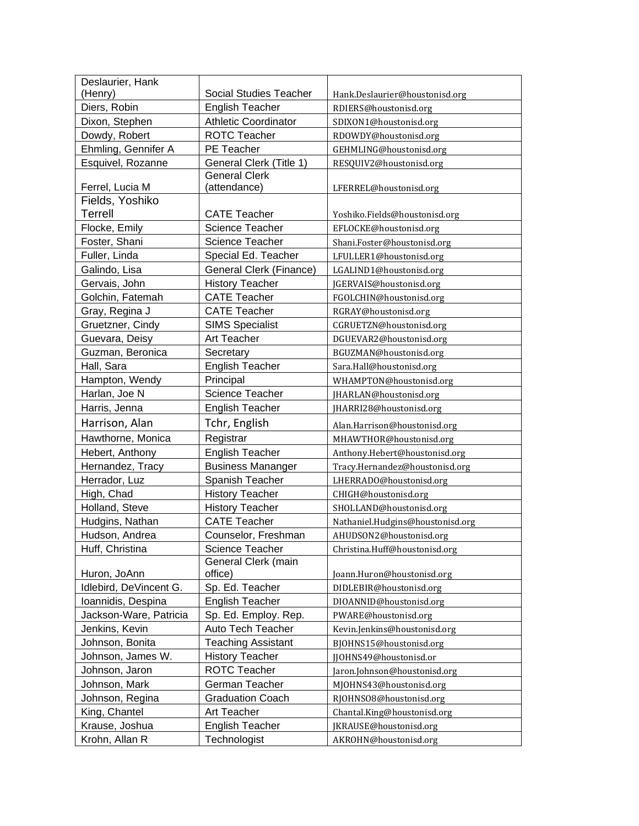| Deslaurier, Hank<br>(Henry) | Social Studies Teacher      | Hank.Deslaurier@houstonisd.org   |
|-----------------------------|-----------------------------|----------------------------------|
| Diers, Robin                | <b>English Teacher</b>      | RDIERS@houstonisd.org            |
| Dixon, Stephen              | <b>Athletic Coordinator</b> | SDIXON1@houstonisd.org           |
| Dowdy, Robert               | <b>ROTC Teacher</b>         | RDOWDY@houstonisd.org            |
| Ehmling, Gennifer A         | PE Teacher                  | GEHMLING@houstonisd.org          |
| Esquivel, Rozanne           | General Clerk (Title 1)     | RESQUIV2@houstonisd.org          |
|                             | <b>General Clerk</b>        |                                  |
| Ferrel, Lucia M             | (attendance)                | LFERREL@houstonisd.org           |
| Fields, Yoshiko             |                             |                                  |
| <b>Terrell</b>              | <b>CATE Teacher</b>         | Yoshiko.Fields@houstonisd.org    |
| Flocke, Emily               | <b>Science Teacher</b>      | EFLOCKE@houstonisd.org           |
| Foster, Shani               | <b>Science Teacher</b>      | Shani.Foster@houstonisd.org      |
| Fuller, Linda               | Special Ed. Teacher         | LFULLER1@houstonisd.org          |
| Galindo, Lisa               | General Clerk (Finance)     | LGALIND1@houstonisd.org          |
| Gervais, John               | <b>History Teacher</b>      | JGERVAIS@houstonisd.org          |
| Golchin, Fatemah            | <b>CATE Teacher</b>         | FGOLCHIN@houstonisd.org          |
| Gray, Regina J              | <b>CATE Teacher</b>         | RGRAY@houstonisd.org             |
| Gruetzner, Cindy            | <b>SIMS Specialist</b>      | CGRUETZN@houstonisd.org          |
| Guevara, Deisy              | Art Teacher                 | DGUEVAR2@houstonisd.org          |
| Guzman, Beronica            | Secretary                   | BGUZMAN@houstonisd.org           |
| Hall, Sara                  | <b>English Teacher</b>      | Sara.Hall@houstonisd.org         |
| Hampton, Wendy              | Principal                   | WHAMPTON@houstonisd.org          |
| Harlan, Joe N               | Science Teacher             | JHARLAN@houstonisd.org           |
| Harris, Jenna               | <b>English Teacher</b>      | JHARRI28@houstonisd.org          |
| Harrison, Alan              | Tchr, English               | Alan.Harrison@houstonisd.org     |
| Hawthorne, Monica           | Registrar                   | MHAWTHOR@houstonisd.org          |
| Hebert, Anthony             | <b>English Teacher</b>      | Anthony.Hebert@houstonisd.org    |
| Hernandez, Tracy            | <b>Business Mananger</b>    | Tracy.Hernandez@houstonisd.org   |
| Herrador, Luz               | Spanish Teacher             | LHERRADO@houstonisd.org          |
| High, Chad                  | <b>History Teacher</b>      | CHIGH@houstonisd.org             |
| Holland, Steve              | <b>History Teacher</b>      | SHOLLAND@houstonisd.org          |
| Hudgins, Nathan             | <b>CATE Teacher</b>         | Nathaniel.Hudgins@houstonisd.org |
| Hudson, Andrea              | Counselor, Freshman         | AHUDSON2@houstonisd.org          |
| Huff, Christina             | Science Teacher             | Christina.Huff@houstonisd.org    |
|                             | General Clerk (main         |                                  |
| Huron, JoAnn                | office)                     | Joann.Huron@houstonisd.org       |
| Idlebird, DeVincent G.      | Sp. Ed. Teacher             | DIDLEBIR@houstonisd.org          |
| Ioannidis, Despina          | <b>English Teacher</b>      | DIOANNID@houstonisd.org          |
| Jackson-Ware, Patricia      | Sp. Ed. Employ. Rep.        | PWARE@houstonisd.org             |
| Jenkins, Kevin              | Auto Tech Teacher           | Kevin.Jenkins@houstonisd.org     |
| Johnson, Bonita             | <b>Teaching Assistant</b>   | BJOHNS15@houstonisd.org          |
| Johnson, James W.           | <b>History Teacher</b>      | JJOHNS49@houstonisd.or           |
| Johnson, Jaron              | <b>ROTC Teacher</b>         | Jaron.Johnson@houstonisd.org     |
| Johnson, Mark               | German Teacher              | MJOHNS43@houstonisd.org          |
| Johnson, Regina             | <b>Graduation Coach</b>     | RJOHNSO8@houstonisd.org          |
| King, Chantel               | Art Teacher                 | Chantal.King@houstonisd.org      |
| Krause, Joshua              | <b>English Teacher</b>      | JKRAUSE@houstonisd.org           |
| Krohn, Allan R              | Technologist                | AKROHN@houstonisd.org            |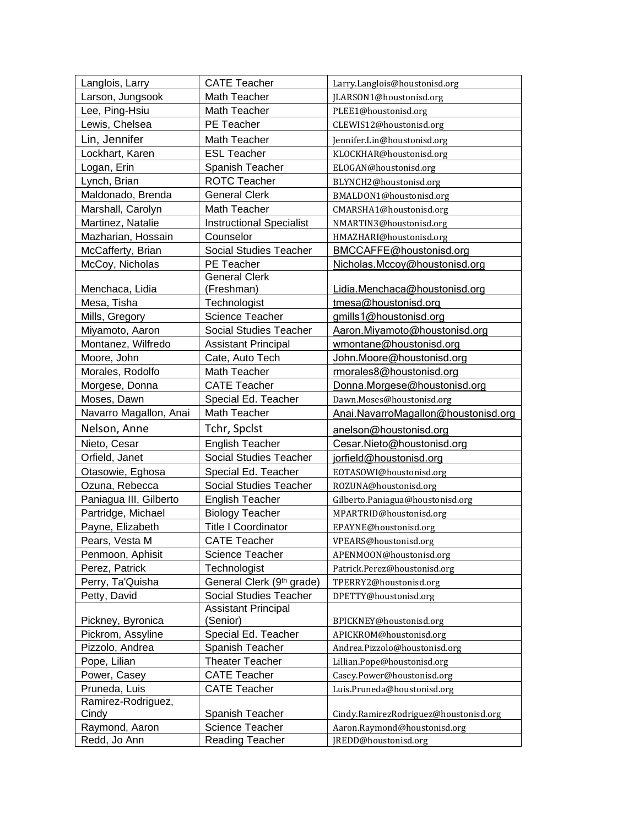| Langlois, Larry        | <b>CATE Teacher</b>             | Larry.Langlois@houstonisd.org         |
|------------------------|---------------------------------|---------------------------------------|
| Larson, Jungsook       | Math Teacher                    | JLARSON1@houstonisd.org               |
| Lee, Ping-Hsiu         | Math Teacher                    | PLEE1@houstonisd.org                  |
| Lewis, Chelsea         | PE Teacher                      | CLEWIS12@houstonisd.org               |
| Lin, Jennifer          | Math Teacher                    | Jennifer.Lin@houstonisd.org           |
| Lockhart, Karen        | <b>ESL Teacher</b>              | KLOCKHAR@houstonisd.org               |
| Logan, Erin            | Spanish Teacher                 | ELOGAN@houstonisd.org                 |
| Lynch, Brian           | <b>ROTC Teacher</b>             | BLYNCH2@houstonisd.org                |
| Maldonado, Brenda      | <b>General Clerk</b>            | BMALDON1@houstonisd.org               |
| Marshall, Carolyn      | Math Teacher                    | CMARSHA1@houstonisd.org               |
| Martinez, Natalie      | <b>Instructional Specialist</b> | NMARTIN3@houstonisd.org               |
| Mazharian, Hossain     | Counselor                       | HMAZHARI@houstonisd.org               |
| McCafferty, Brian      | Social Studies Teacher          | BMCCAFFE@houstonisd.org               |
| McCoy, Nicholas        | PE Teacher                      | Nicholas.Mccoy@houstonisd.org         |
|                        | <b>General Clerk</b>            |                                       |
| Menchaca, Lidia        | (Freshman)                      | Lidia.Menchaca@houstonisd.org         |
| Mesa, Tisha            | Technologist                    | tmesa@houstonisd.org                  |
| Mills, Gregory         | Science Teacher                 | gmills1@houstonisd.org                |
| Miyamoto, Aaron        | Social Studies Teacher          | Aaron.Miyamoto@houstonisd.org         |
| Montanez, Wilfredo     | <b>Assistant Principal</b>      | wmontane@houstonisd.org               |
| Moore, John            | Cate, Auto Tech                 | John.Moore@houstonisd.org             |
| Morales, Rodolfo       | Math Teacher                    | rmorales8@houstonisd.org              |
| Morgese, Donna         | <b>CATE Teacher</b>             | Donna.Morgese@houstonisd.org          |
| Moses, Dawn            | Special Ed. Teacher             | Dawn.Moses@houstonisd.org             |
| Navarro Magallon, Anai | Math Teacher                    | Anai.NavarroMagallon@houstonisd.org   |
| Nelson, Anne           | Tchr, Spclst                    | anelson@houstonisd.org                |
| Nieto, Cesar           | <b>English Teacher</b>          | Cesar.Nieto@houstonisd.org            |
| Orfield, Janet         | Social Studies Teacher          | jorfield@houstonisd.org               |
| Otasowie, Eghosa       | Special Ed. Teacher             | EOTASOWI@houstonisd.org               |
| Ozuna, Rebecca         | Social Studies Teacher          | ROZUNA@houstonisd.org                 |
| Paniagua III, Gilberto | <b>English Teacher</b>          | Gilberto.Paniagua@houstonisd.org      |
| Partridge, Michael     | <b>Biology Teacher</b>          | MPARTRID@houstonisd.org               |
| Payne, Elizabeth       | <b>Title I Coordinator</b>      | EPAYNE@houstonisd.org                 |
| Pears, Vesta M         | <b>CATE Teacher</b>             | VPEARS@houstonisd.org                 |
| Penmoon, Aphisit       | Science Teacher                 | APENMOON@houstonisd.org               |
| Perez, Patrick         | Technologist                    | Patrick.Perez@houstonisd.org          |
| Perry, Ta'Quisha       | General Clerk (9th grade)       | TPERRY2@houstonisd.org                |
| Petty, David           | <b>Social Studies Teacher</b>   | DPETTY@houstonisd.org                 |
|                        | <b>Assistant Principal</b>      |                                       |
| Pickney, Byronica      | (Senior)                        | BPICKNEY@houstonisd.org               |
| Pickrom, Assyline      | Special Ed. Teacher             | APICKROM@houstonisd.org               |
| Pizzolo, Andrea        | Spanish Teacher                 | Andrea.Pizzolo@houstonisd.org         |
| Pope, Lilian           | <b>Theater Teacher</b>          | Lillian.Pope@houstonisd.org           |
| Power, Casey           | <b>CATE Teacher</b>             | Casey.Power@houstonisd.org            |
| Pruneda, Luis          | <b>CATE Teacher</b>             | Luis.Pruneda@houstonisd.org           |
| Ramirez-Rodriguez,     |                                 |                                       |
| Cindy                  | Spanish Teacher                 | Cindy.RamirezRodriguez@houstonisd.org |
| Raymond, Aaron         | Science Teacher                 | Aaron.Raymond@houstonisd.org          |
| Redd, Jo Ann           | <b>Reading Teacher</b>          | JREDD@houstonisd.org                  |